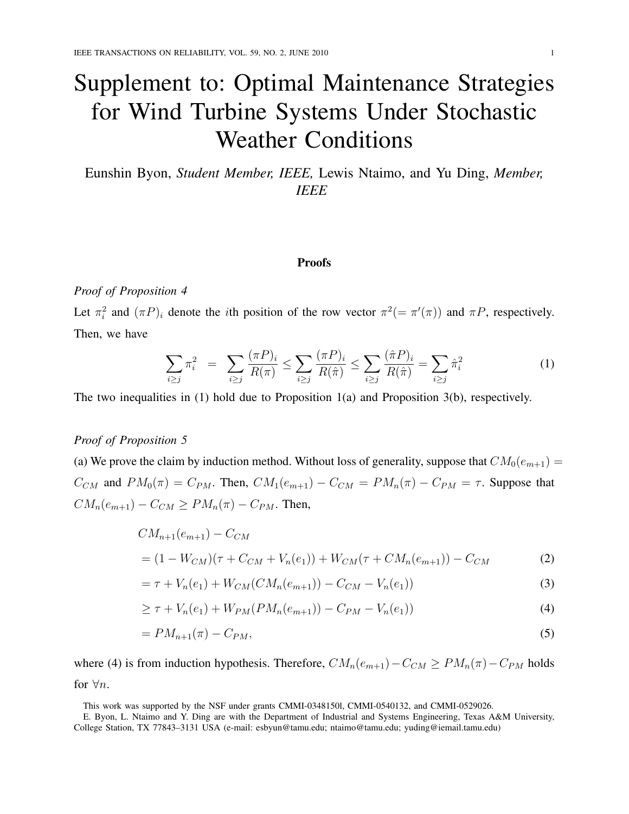# Supplement to: Optimal Maintenance Strategies for Wind Turbine Systems Under Stochastic Weather Conditions

Eunshin Byon, *Student Member, IEEE,* Lewis Ntaimo, and Yu Ding, *Member, IEEE*

#### Proofs

# *Proof of Proposition 4*

Let  $\pi_i^2$  and  $(\pi P)_i$  denote the *i*th position of the row vector  $\pi^2 (= \pi'(\pi))$  and  $\pi P$ , respectively. Then, we have

$$
\sum_{i \ge j} \pi_i^2 = \sum_{i \ge j} \frac{(\pi P)_i}{R(\pi)} \le \sum_{i \ge j} \frac{(\pi P)_i}{R(\hat{\pi})} \le \sum_{i \ge j} \frac{(\hat{\pi} P)_i}{R(\hat{\pi})} = \sum_{i \ge j} \hat{\pi}_i^2 \tag{1}
$$

The two inequalities in (1) hold due to Proposition 1(a) and Proposition 3(b), respectively.

# *Proof of Proposition 5*

(a) We prove the claim by induction method. Without loss of generality, suppose that  $CM_0(e_{m+1}) =$  $C_{CM}$  and  $PM_0(\pi) = C_{PM}$ . Then,  $CM_1(e_{m+1}) - C_{CM} = PM_n(\pi) - C_{PM} = \tau$ . Suppose that  $CM_n(e_{m+1}) - C_{CM} \ge PM_n(\pi) - C_{PM}$ . Then,

$$
CM_{n+1}(e_{m+1}) - C_{CM}
$$
  
=  $(1 - W_{CM})(\tau + C_{CM} + V_n(e_1)) + W_{CM}(\tau + CM_n(e_{m+1})) - C_{CM}$  (2)

$$
= \tau + V_n(e_1) + W_{CM}(CM_n(e_{m+1})) - C_{CM} - V_n(e_1))
$$
\n(3)

$$
\geq \tau + V_n(e_1) + W_{PM}(PM_n(e_{m+1})) - C_{PM} - V_n(e_1))
$$
\n(4)

$$
=PM_{n+1}(\pi)-C_{PM},\tag{5}
$$

where (4) is from induction hypothesis. Therefore,  $CM_n(e_{m+1})-C_{CM} \ge PM_n(\pi)-C_{PM}$  holds for  $\forall n$ .

This work was supported by the NSF under grants CMMI-0348150l, CMMI-0540132, and CMMI-0529026.

E. Byon, L. Ntaimo and Y. Ding are with the Department of Industrial and Systems Engineering, Texas A&M University, College Station, TX 77843–3131 USA (e-mail: esbyun@tamu.edu; ntaimo@tamu.edu; yuding@iemail.tamu.edu)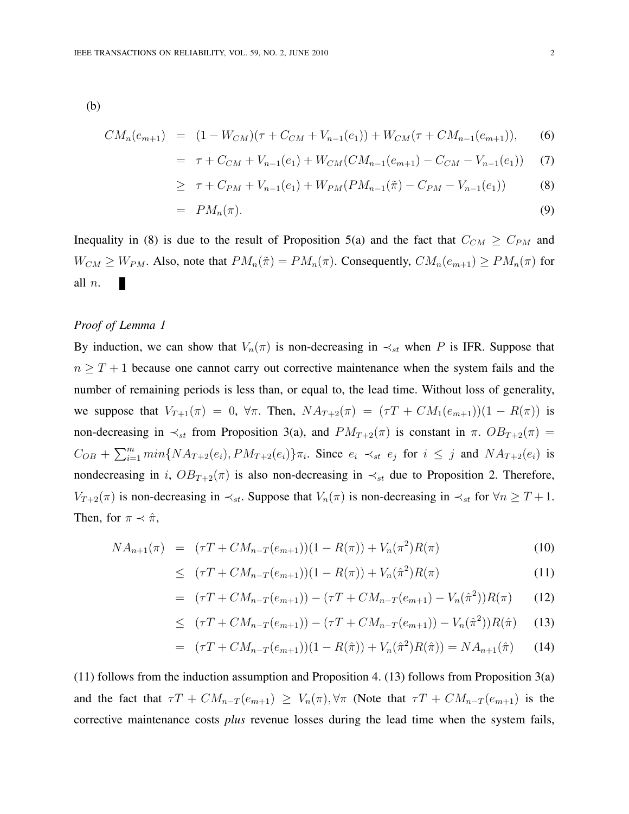(b)

$$
CM_n(e_{m+1}) = (1 - W_{CM})(\tau + C_{CM} + V_{n-1}(e_1)) + W_{CM}(\tau + CM_{n-1}(e_{m+1})),
$$
 (6)

$$
= \tau + C_{CM} + V_{n-1}(e_1) + W_{CM}(CM_{n-1}(e_{m+1}) - C_{CM} - V_{n-1}(e_1)) \tag{7}
$$

$$
\geq \tau + C_{PM} + V_{n-1}(e_1) + W_{PM}(PM_{n-1}(\tilde{\pi}) - C_{PM} - V_{n-1}(e_1)) \tag{8}
$$

$$
= PM_n(\pi). \tag{9}
$$

Inequality in (8) is due to the result of Proposition 5(a) and the fact that  $C_{CM} \ge C_{PM}$  and  $W_{CM} \geq W_{PM}$ . Also, note that  $PM_n(\tilde{\pi}) = PM_n(\pi)$ . Consequently,  $CM_n(e_{m+1}) \geq PM_n(\pi)$  for all n. П

#### *Proof of Lemma 1*

By induction, we can show that  $V_n(\pi)$  is non-decreasing in  $\prec_{st}$  when P is IFR. Suppose that  $n \geq T + 1$  because one cannot carry out corrective maintenance when the system fails and the number of remaining periods is less than, or equal to, the lead time. Without loss of generality, we suppose that  $V_{T+1}(\pi) = 0$ ,  $\forall \pi$ . Then,  $NA_{T+2}(\pi) = (\tau T + CM_1(e_{m+1}))(1 - R(\pi))$  is non-decreasing in  $\prec_{st}$  from Proposition 3(a), and  $PM_{T+2}(\pi)$  is constant in  $\pi$ .  $OB_{T+2}(\pi)$  =  $C_{OB} + \sum_{i=1}^{m} min\{NA_{T+2}(e_i), PM_{T+2}(e_i)\}\pi_i$ . Since  $e_i \prec_{st} e_j$  for  $i \leq j$  and  $NA_{T+2}(e_i)$  is nondecreasing in i,  $OB_{T+2}(\pi)$  is also non-decreasing in  $\prec_{st}$  due to Proposition 2. Therefore,  $V_{T+2}(\pi)$  is non-decreasing in  $\prec_{st}$ . Suppose that  $V_n(\pi)$  is non-decreasing in  $\prec_{st}$  for  $\forall n \geq T+1$ . Then, for  $\pi \prec \hat{\pi}$ ,

$$
NA_{n+1}(\pi) = (\tau T + CM_{n-T}(e_{m+1}))(1 - R(\pi)) + V_n(\pi^2)R(\pi)
$$
\n(10)

$$
\leq (\tau T + CM_{n-T}(e_{m+1}))(1 - R(\pi)) + V_n(\hat{\pi}^2)R(\pi) \tag{11}
$$

$$
= (\tau T + CM_{n-T}(e_{m+1})) - (\tau T + CM_{n-T}(e_{m+1}) - V_n(\hat{\pi}^2))R(\pi)
$$
 (12)

$$
\leq (\tau T + CM_{n-T}(e_{m+1})) - (\tau T + CM_{n-T}(e_{m+1})) - V_n(\hat{\pi}^2))R(\hat{\pi}) \tag{13}
$$

$$
= (\tau T + CM_{n-T}(e_{m+1}))(1 - R(\hat{\pi})) + V_n(\hat{\pi}^2)R(\hat{\pi})) = NA_{n+1}(\hat{\pi})
$$
 (14)

(11) follows from the induction assumption and Proposition 4. (13) follows from Proposition 3(a) and the fact that  $\tau T + CM_{n-T}(e_{m+1}) \ge V_n(\pi), \forall \pi$  (Note that  $\tau T + CM_{n-T}(e_{m+1})$  is the corrective maintenance costs *plus* revenue losses during the lead time when the system fails,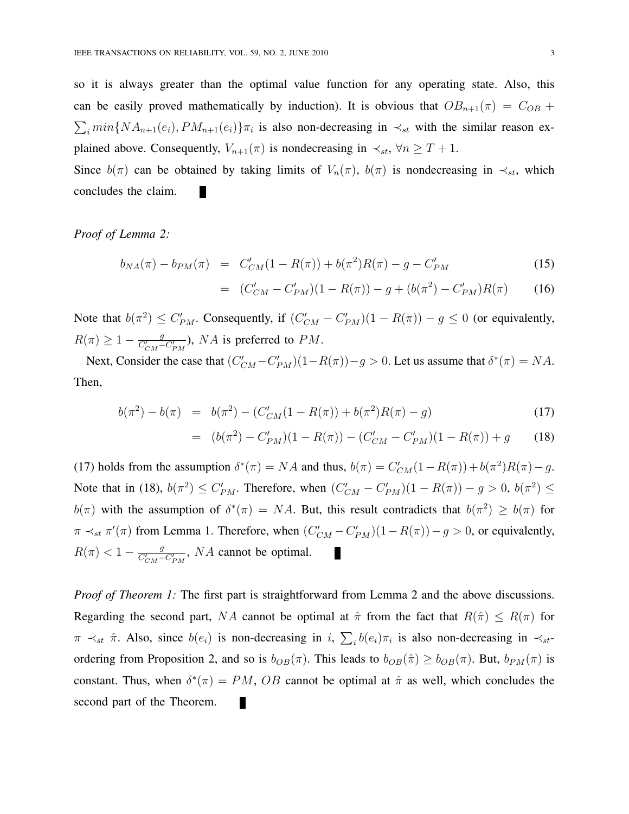so it is always greater than the optimal value function for any operating state. Also, this can be easily proved mathematically by induction). It is obvious that  $OB_{n+1}(\pi) = C_{OB} +$  $\sum_i min\{NA_{n+1}(e_i), PM_{n+1}(e_i)\}\pi_i$  is also non-decreasing in  $\prec_{st}$  with the similar reason explained above. Consequently,  $V_{n+1}(\pi)$  is nondecreasing in  $\prec_{st}$ ,  $\forall n \geq T+1$ .

Since  $b(\pi)$  can be obtained by taking limits of  $V_n(\pi)$ ,  $b(\pi)$  is nondecreasing in  $\prec_{st}$ , which concludes the claim.

## *Proof of Lemma 2:*

$$
b_{NA}(\pi) - b_{PM}(\pi) = C'_{CM}(1 - R(\pi)) + b(\pi^2)R(\pi) - g - C'_{PM}
$$
\n(15)

$$
= (C'_{CM} - C'_{PM})(1 - R(\pi)) - g + (b(\pi^2) - C'_{PM})R(\pi)
$$
 (16)

Note that  $b(\pi^2) \le C'_{PM}$ . Consequently, if  $(C'_{CM} - C'_{PM})(1 - R(\pi)) - g \le 0$  (or equivalently,  $R(\pi) \geq 1 - \frac{g}{C'}$  $\frac{g}{C_{CM}'-C'_{PM}}$ ),  $NA$  is preferred to  $PM$ .

Next, Consider the case that  $(C'_{CM} - C'_{PM})(1 - R(\pi)) - g > 0$ . Let us assume that  $\delta^*(\pi) = NA$ . Then,

$$
b(\pi^2) - b(\pi) = b(\pi^2) - (C'_{CM}(1 - R(\pi)) + b(\pi^2)R(\pi) - g)
$$
\n(17)

$$
= (b(\pi^2) - C'_{PM})(1 - R(\pi)) - (C'_{CM} - C'_{PM})(1 - R(\pi)) + g \qquad (18)
$$

(17) holds from the assumption  $\delta^*(\pi) = NA$  and thus,  $b(\pi) = C'_{CM}(1 - R(\pi)) + b(\pi^2)R(\pi) - g$ . Note that in (18),  $b(\pi^2) \le C'_{PM}$ . Therefore, when  $(C'_{CM} - C'_{PM})(1 - R(\pi)) - g > 0$ ,  $b(\pi^2) \le C'_{PM}$ .  $b(\pi)$  with the assumption of  $\delta^*(\pi) = NA$ . But, this result contradicts that  $b(\pi^2) \geq b(\pi)$  for  $\pi \prec_{st} \pi'(\pi)$  from Lemma 1. Therefore, when  $(C'_{CM} - C'_{PM})(1 - R(\pi)) - g > 0$ , or equivalently,  $R(\pi) < 1 - \frac{g}{C'}$  $\frac{g}{C_{CM} - C_{PM}'}$ , NA cannot be optimal. ×

*Proof of Theorem 1:* The first part is straightforward from Lemma 2 and the above discussions. Regarding the second part, NA cannot be optimal at  $\hat{\pi}$  from the fact that  $R(\hat{\pi}) \leq R(\pi)$  for  $\pi \prec_{st} \hat{\pi}$ . Also, since  $b(e_i)$  is non-decreasing in i,  $\sum_i b(e_i)\pi_i$  is also non-decreasing in  $\prec_{st}$ ordering from Proposition 2, and so is  $b_{OB}(\pi)$ . This leads to  $b_{OB}(\hat{\pi}) \geq b_{OB}(\pi)$ . But,  $b_{PM}(\pi)$  is constant. Thus, when  $\delta^*(\pi) = PM$ , OB cannot be optimal at  $\hat{\pi}$  as well, which concludes the second part of the Theorem.П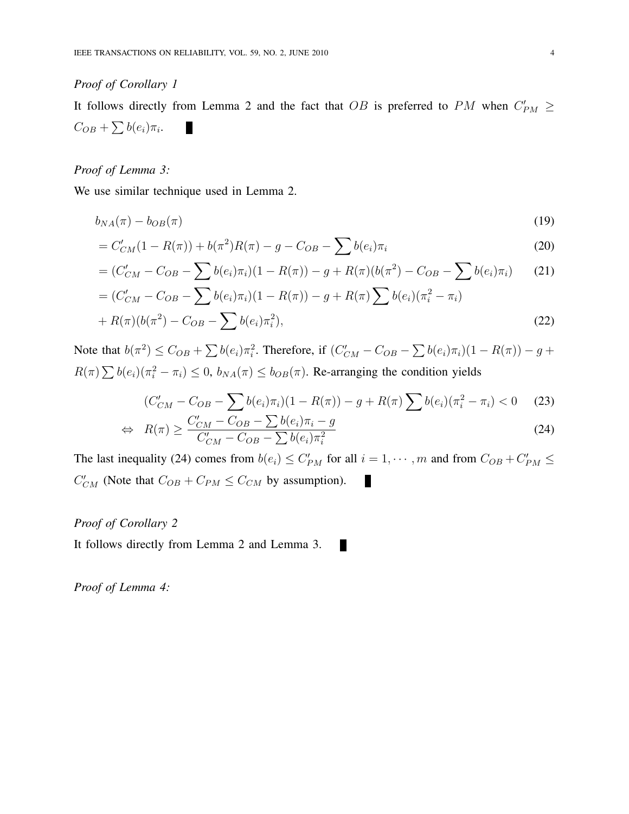# *Proof of Corollary 1*

It follows directly from Lemma 2 and the fact that OB is preferred to PM when  $C'_{PM} \geq$  $C_{OB} + \sum b(e_i)\pi_i.$ ×

# *Proof of Lemma 3:*

We use similar technique used in Lemma 2.

$$
b_{NA}(\pi) - b_{OB}(\pi) \tag{19}
$$

$$
= C'_{CM}(1 - R(\pi)) + b(\pi^2)R(\pi) - g - C_{OB} - \sum b(e_i)\pi_i
$$
\n(20)

$$
= (C'_{CM} - C_{OB} - \sum b(e_i)\pi_i)(1 - R(\pi)) - g + R(\pi)(b(\pi^2) - C_{OB} - \sum b(e_i)\pi_i)
$$
 (21)

$$
= (C'_{CM} - C_{OB} - \sum b(e_i)\pi_i)(1 - R(\pi)) - g + R(\pi)\sum b(e_i)(\pi_i^2 - \pi_i)
$$
  
+  $R(\pi)(b(\pi^2) - C_{OB} - \sum b(e_i)\pi_i^2),$  (22)

Note that  $b(\pi^2) \leq C_{OB} + \sum b(e_i)\pi_i^2$ . Therefore, if  $(C'_{CM} - C_{OB} - \sum b(e_i)\pi_i)(1 - R(\pi)) - g +$  $R(\pi) \sum b(e_i)(\pi_i^2 - \pi_i) \le 0$ ,  $b_{NA}(\pi) \le b_{OB}(\pi)$ . Re-arranging the condition yields

$$
(C'_{CM} - C_{OB} - \sum b(e_i)\pi_i)(1 - R(\pi)) - g + R(\pi)\sum b(e_i)(\pi_i^2 - \pi_i) < 0 \tag{23}
$$

$$
\Leftrightarrow R(\pi) \ge \frac{C'_{CM} - C_{OB} - \sum b(e_i)\pi_i - g}{C'_{CM} - C_{OB} - \sum b(e_i)\pi_i^2}
$$
\n(24)

П

The last inequality (24) comes from  $b(e_i) \leq C'_{PM}$  for all  $i = 1, \dots, m$  and from  $C_{OB} + C'_{PM} \leq$  $C'_{CM}$  (Note that  $C_{OB} + C_{PM} \le C_{CM}$  by assumption). ×

# *Proof of Corollary 2*

It follows directly from Lemma 2 and Lemma 3.

*Proof of Lemma 4:*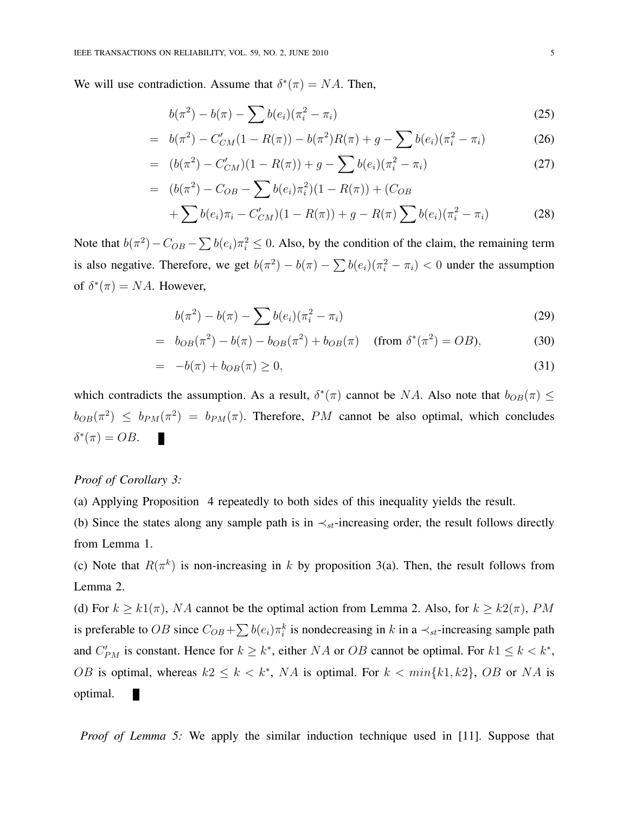We will use contradiction. Assume that  $\delta^*(\pi) = NA$ . Then,

$$
b(\pi^2) - b(\pi) - \sum b(e_i)(\pi_i^2 - \pi_i)
$$
 (25)

$$
= b(\pi^2) - C'_{CM}(1 - R(\pi)) - b(\pi^2)R(\pi) + g - \sum b(e_i)(\pi_i^2 - \pi_i)
$$
 (26)

$$
= (b(\pi^2) - C'_{CM})(1 - R(\pi)) + g - \sum b(e_i)(\pi_i^2 - \pi_i)
$$
\n(27)

$$
= (b(\pi^2) - C_{OB} - \sum b(e_i)\pi_i^2)(1 - R(\pi)) + (C_{OB} + \sum b(e_i)\pi_i - C'_{CM})(1 - R(\pi)) + g - R(\pi) \sum b(e_i)(\pi_i^2 - \pi_i)
$$
(28)

Note that  $b(\pi^2) - C_{OB} - \sum b(e_i)\pi_i^2 \le 0$ . Also, by the condition of the claim, the remaining term is also negative. Therefore, we get  $b(\pi^2) - b(\pi) - \sum b(e_i)(\pi_i^2 - \pi_i) < 0$  under the assumption of  $\delta^*(\pi) = NA$ . However,

$$
b(\pi^2) - b(\pi) - \sum b(e_i)(\pi_i^2 - \pi_i)
$$
 (29)

$$
= b_{OB}(\pi^2) - b(\pi) - b_{OB}(\pi^2) + b_{OB}(\pi) \quad \text{(from } \delta^*(\pi^2) = OB\text{)},\tag{30}
$$

$$
= -b(\pi) + b_{OB}(\pi) \ge 0,
$$
\n(31)

which contradicts the assumption. As a result,  $\delta^*(\pi)$  cannot be NA. Also note that  $b_{OB}(\pi) \leq$  $b_{OB}(\pi^2) \leq b_{PM}(\pi^2) = b_{PM}(\pi)$ . Therefore, PM cannot be also optimal, which concludes  $\delta^*(\pi) = OB.$ 

# *Proof of Corollary 3:*

(a) Applying Proposition 4 repeatedly to both sides of this inequality yields the result.

(b) Since the states along any sample path is in  $\prec_{st}$ -increasing order, the result follows directly from Lemma 1.

(c) Note that  $R(\pi^k)$  is non-increasing in k by proposition 3(a). Then, the result follows from Lemma 2.

(d) For  $k \ge k(1/\pi)$ , NA cannot be the optimal action from Lemma 2. Also, for  $k \ge k(2/\pi)$ , PM is preferable to OB since  $C_{OB} + \sum b(e_i)\pi_i^k$  is nondecreasing in k in a  $\prec_{st}$ -increasing sample path and  $C'_{PM}$  is constant. Hence for  $k \geq k^*$ , either NA or OB cannot be optimal. For  $k1 \leq k \leq k^*$ , OB is optimal, whereas  $k2 \leq k \leq k^*$ , NA is optimal. For  $k < min\{k1, k2\}$ , OB or NA is optimal. п

*Proof of Lemma 5:* We apply the similar induction technique used in [11]. Suppose that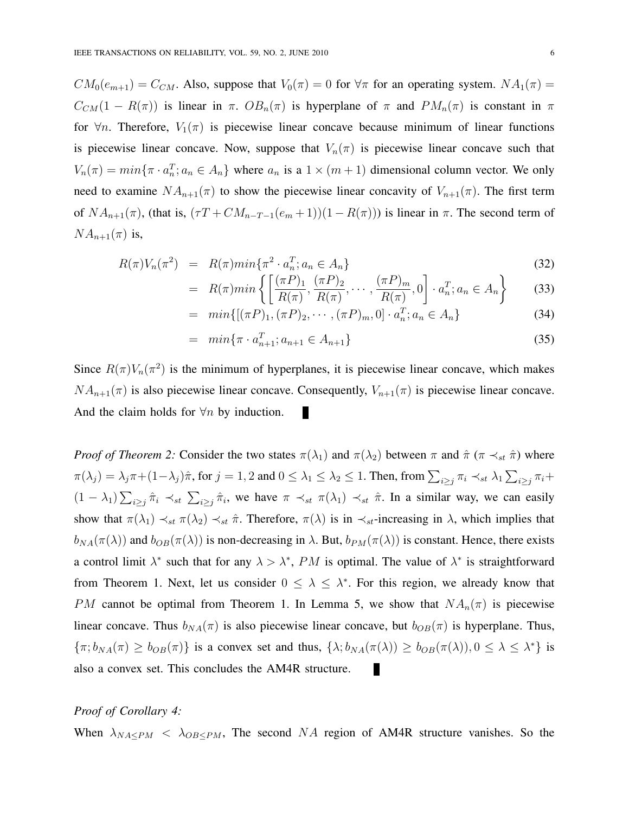$CM_0(e_{m+1}) = C_{CM}$ . Also, suppose that  $V_0(\pi) = 0$  for  $\forall \pi$  for an operating system.  $NA_1(\pi) =$  $C_{CM}(1 - R(\pi))$  is linear in  $\pi$ .  $OB_n(\pi)$  is hyperplane of  $\pi$  and  $PM_n(\pi)$  is constant in  $\pi$ for  $\forall n$ . Therefore,  $V_1(\pi)$  is piecewise linear concave because minimum of linear functions is piecewise linear concave. Now, suppose that  $V_n(\pi)$  is piecewise linear concave such that  $V_n(\pi) = min\{\pi \cdot a_n^T; a_n \in A_n\}$  where  $a_n$  is a  $1 \times (m+1)$  dimensional column vector. We only need to examine  $NA_{n+1}(\pi)$  to show the piecewise linear concavity of  $V_{n+1}(\pi)$ . The first term of  $NA_{n+1}(\pi)$ , (that is,  $(\tau T + CM_{n-T-1}(e_m + 1))(1 - R(\pi))$ ) is linear in  $\pi$ . The second term of  $NA_{n+1}(\pi)$  is,

$$
R(\pi)V_n(\pi^2) = R(\pi)\min\{\pi^2 \cdot a_n^T; a_n \in A_n\}
$$
\n(32)

$$
= R(\pi)min\left\{ \left[ \frac{(\pi P)_1}{R(\pi)}, \frac{(\pi P)_2}{R(\pi)}, \cdots, \frac{(\pi P)_m}{R(\pi)}, 0 \right] \cdot a_n^T; a_n \in A_n \right\} \tag{33}
$$

$$
= \min\{ [(\pi P)_1, (\pi P)_2, \cdots, (\pi P)_m, 0] \cdot a_n^T; a_n \in A_n \}
$$
(34)

$$
= \min\{\pi \cdot a_{n+1}^T; a_{n+1} \in A_{n+1}\}\tag{35}
$$

Since  $R(\pi)V_n(\pi^2)$  is the minimum of hyperplanes, it is piecewise linear concave, which makes  $NA_{n+1}(\pi)$  is also piecewise linear concave. Consequently,  $V_{n+1}(\pi)$  is piecewise linear concave. And the claim holds for  $\forall n$  by induction. П

*Proof of Theorem 2:* Consider the two states  $\pi(\lambda_1)$  and  $\pi(\lambda_2)$  between  $\pi$  and  $\hat{\pi}$  ( $\pi \prec_{st} \hat{\pi}$ ) where  $\pi(\lambda_j) = \lambda_j \pi + (1 - \lambda_j)\hat{\pi}$ , for  $j = 1, 2$  and  $0 \le \lambda_1 \le \lambda_2 \le 1$ . Then, from  $\sum_{i \ge j} \pi_i \prec_{st} \lambda_1 \sum_{i \ge j} \pi_i +$  $(1 - \lambda_1) \sum_{i \geq j} \hat{\pi}_i \prec_{st} \sum_{i \geq j} \hat{\pi}_i$ , we have  $\pi \prec_{st} \pi(\lambda_1) \prec_{st} \hat{\pi}$ . In a similar way, we can easily show that  $\pi(\lambda_1) \prec_{st} \pi(\lambda_2) \prec_{st} \hat{\pi}$ . Therefore,  $\pi(\lambda)$  is in  $\prec_{st}$ -increasing in  $\lambda$ , which implies that  $b_{NA}(\pi(\lambda))$  and  $b_{OB}(\pi(\lambda))$  is non-decreasing in  $\lambda$ . But,  $b_{PM}(\pi(\lambda))$  is constant. Hence, there exists a control limit  $\lambda^*$  such that for any  $\lambda > \lambda^*$ , PM is optimal. The value of  $\lambda^*$  is straightforward from Theorem 1. Next, let us consider  $0 \leq \lambda \leq \lambda^*$ . For this region, we already know that PM cannot be optimal from Theorem 1. In Lemma 5, we show that  $NA_n(\pi)$  is piecewise linear concave. Thus  $b_{NA}(\pi)$  is also piecewise linear concave, but  $b_{OB}(\pi)$  is hyperplane. Thus,  $\{\pi; b_{NA}(\pi) \ge b_{OB}(\pi)\}\$  is a convex set and thus,  $\{\lambda; b_{NA}(\pi(\lambda)) \ge b_{OB}(\pi(\lambda)), 0 \le \lambda \le \lambda^*\}\$ is also a convex set. This concludes the AM4R structure. П

## *Proof of Corollary 4:*

When  $\lambda_{NA\leq PM}$  <  $\lambda_{OB\leq PM}$ , The second NA region of AM4R structure vanishes. So the